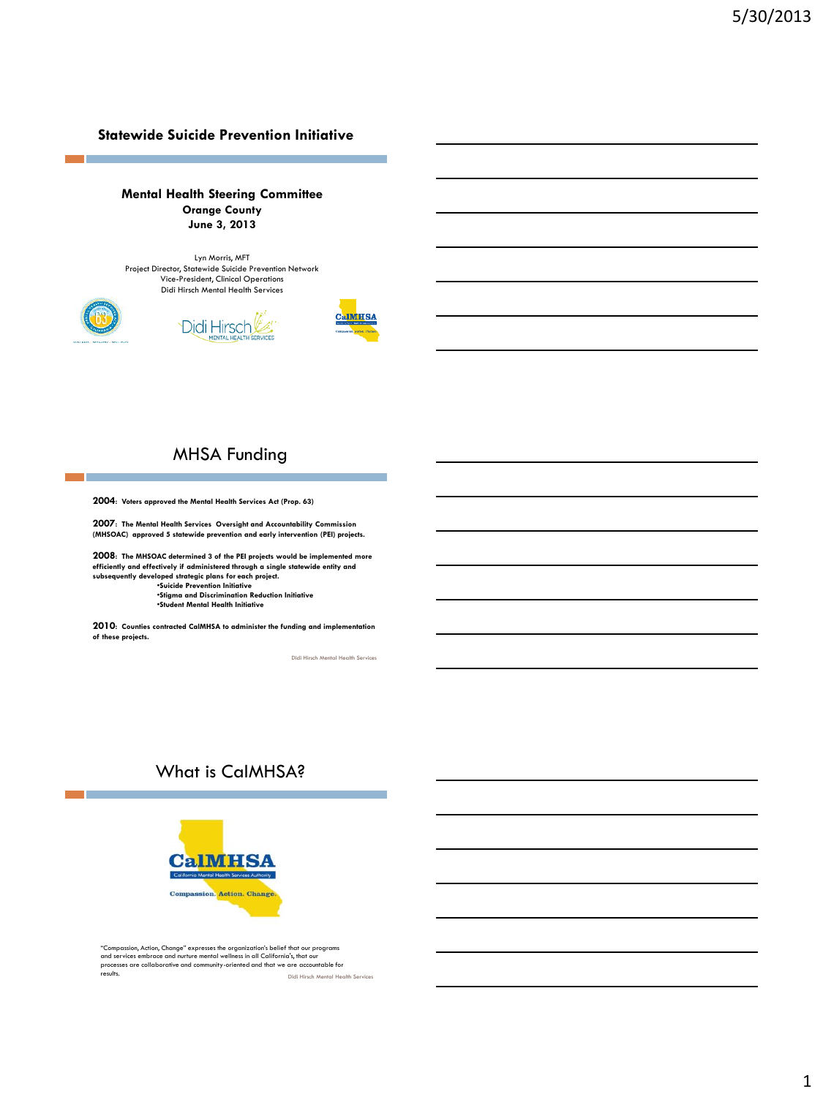#### **Statewide Suicide Prevention Initiative**

#### **Mental Health Steering Committee Orange County June 3, 2013**

Lyn Morris, MFT Project Director, Statewide Suicide Prevention Network Vice-President, Clinical Operations Didi Hirsch Mental Health Services





**CalMHSA** 



## MHSA Funding

**2004: Voters approved the Mental Health Services Act (Prop. 63)**

**2007: The Mental Health Services Oversight and Accountability Commission (MHSOAC) approved 5 statewide prevention and early intervention (PEI) projects.**

**2008: The MHSOAC determined 3 of the PEI projects would be implemented more efficiently and effectively if administered through a single statewide entity and subsequently developed strategic plans for each project.**

•**Suicide Prevention Initiative** •**Stigma and Discrimination Reduction Initiative**

•**Student Mental Health Initiative**

**2010: Counties contracted CalMHSA to administer the funding and implementation of these projects.** 

Didi Hirsch Mental Health Services

## What is CalMHSA?



Didi Hirsch Mental Health Services "Compassion, Action, Change" expresses the organization's belief that our programs and services embrace and nurture mental wellness in all California's, that our<br>processes are collaborative and community-oriented and that we are accountable for<br>results.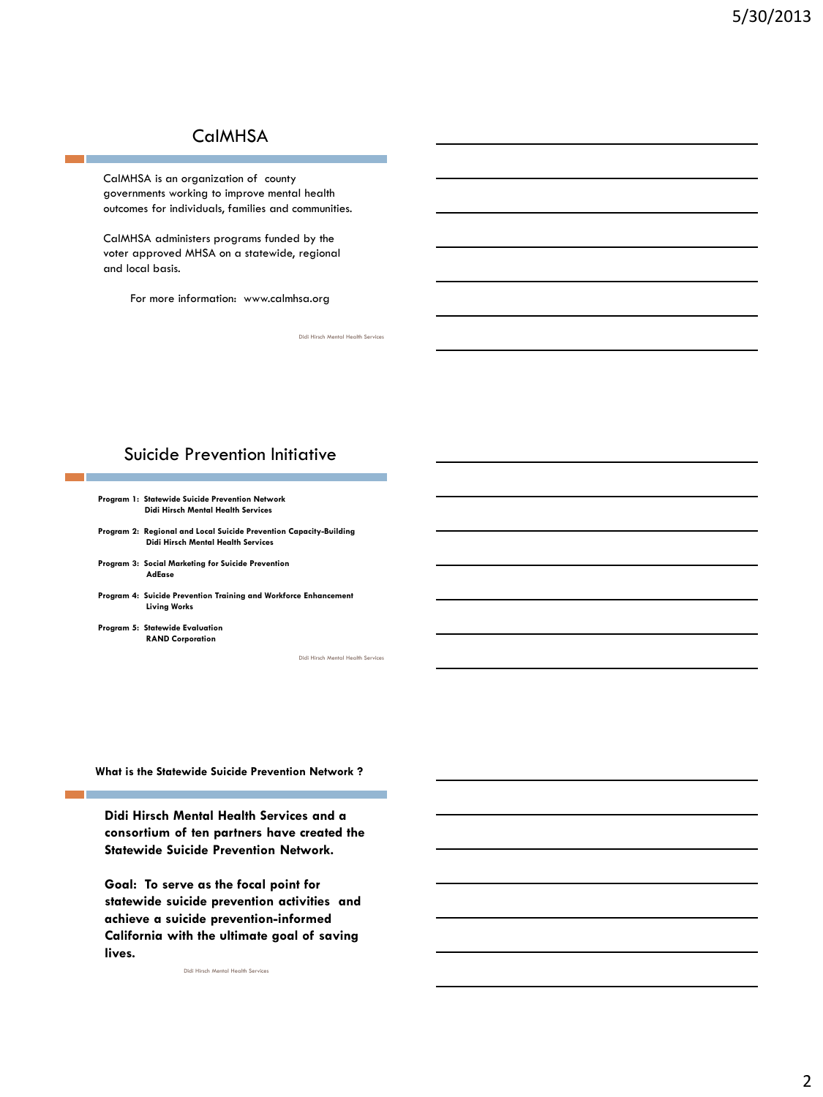## **CalMHSA**

CalMHSA is an organization of county governments working to improve mental health outcomes for individuals, families and communities.

CalMHSA administers programs funded by the voter approved MHSA on a statewide, regional and local basis.

For more information: www.calmhsa.org

Didi Hirsch Mental Health Services

### Suicide Prevention Initiative

| Program 1: Statewide Suicide Prevention Network |
|-------------------------------------------------|
| <b>Didi Hirsch Mental Health Services</b>       |

**Program 2: Regional and Local Suicide Prevention Capacity-Building Didi Hirsch Mental Health Services**

- **Program 3: Social Marketing for Suicide Prevention AdEase**
- **Program 4: Suicide Prevention Training and Workforce Enhancement Living Works**

**Program 5: Statewide Evaluation RAND Corporation**

Didi Hirsch Mental Health Services

**What is the Statewide Suicide Prevention Network ?**

**Didi Hirsch Mental Health Services and a consortium of ten partners have created the Statewide Suicide Prevention Network.** 

**Goal: To serve as the focal point for statewide suicide prevention activities and achieve a suicide prevention-informed California with the ultimate goal of saving lives.**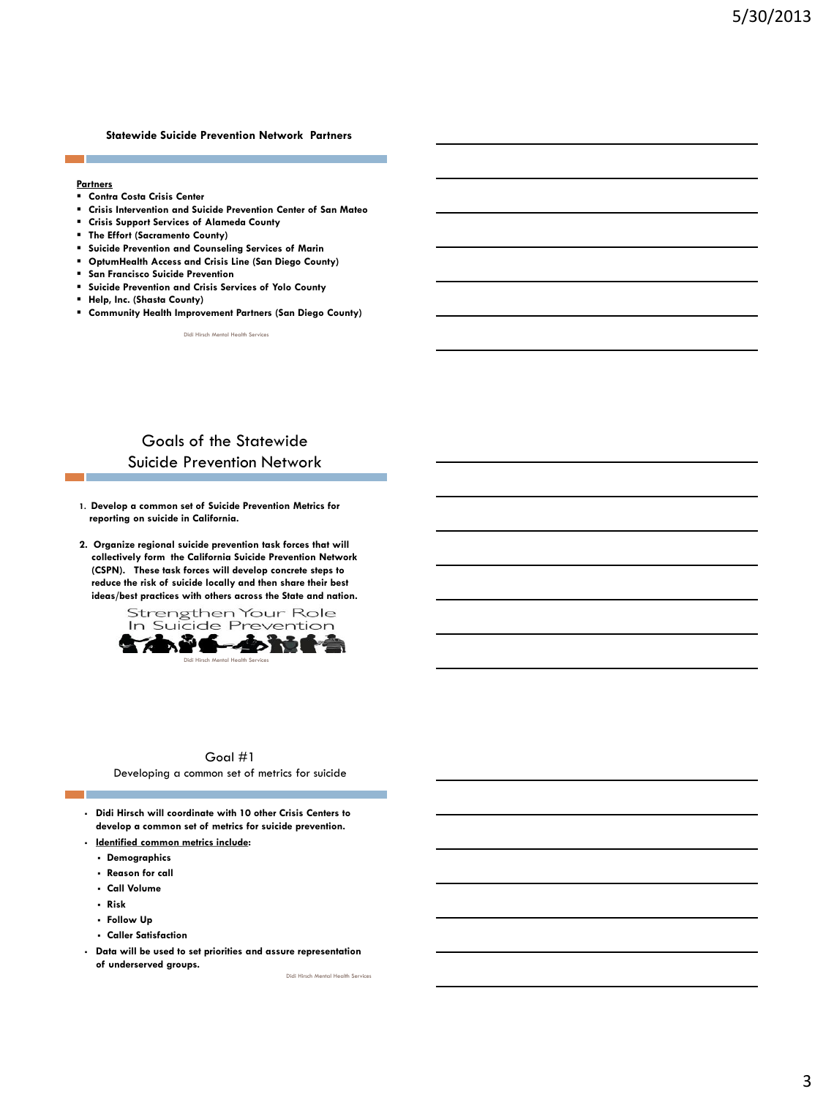#### **Statewide Suicide Prevention Network Partners**

#### **Partners**

- **Contra Costa Crisis Center**
- **Crisis Intervention and Suicide Prevention Center of San Mateo**
- **Crisis Support Services of Alameda County**
- **The Effort (Sacramento County)**
- **Suicide Prevention and Counseling Services of Marin**
- **OptumHealth Access and Crisis Line (San Diego County)**
- **San Francisco Suicide Prevention**
- **Suicide Prevention and Crisis Services of Yolo County**
- **Help, Inc. (Shasta County)**
- **Community Health Improvement Partners (San Diego County)**

Didi Hirsch Mental Health Services

## Goals of the Statewide Suicide Prevention Network

- **1. Develop a common set of Suicide Prevention Metrics for reporting on suicide in California.**
- **2. Organize regional suicide prevention task forces that will collectively form the California Suicide Prevention Network (CSPN). These task forces will develop concrete steps to reduce the risk of suicide locally and then share their best ideas/best practices with others across the State and nation.**



#### Goal #1 Developing a common set of metrics for suicide

- **Didi Hirsch will coordinate with 10 other Crisis Centers to develop a common set of metrics for suicide prevention.**
- **Identified common metrics include:**
	- **Demographics**
	- **Reason for call**
	- **Call Volume**
	- **Risk**
	- **Follow Up**
	- **Caller Satisfaction**
- **Data will be used to set priorities and assure representation of underserved groups.**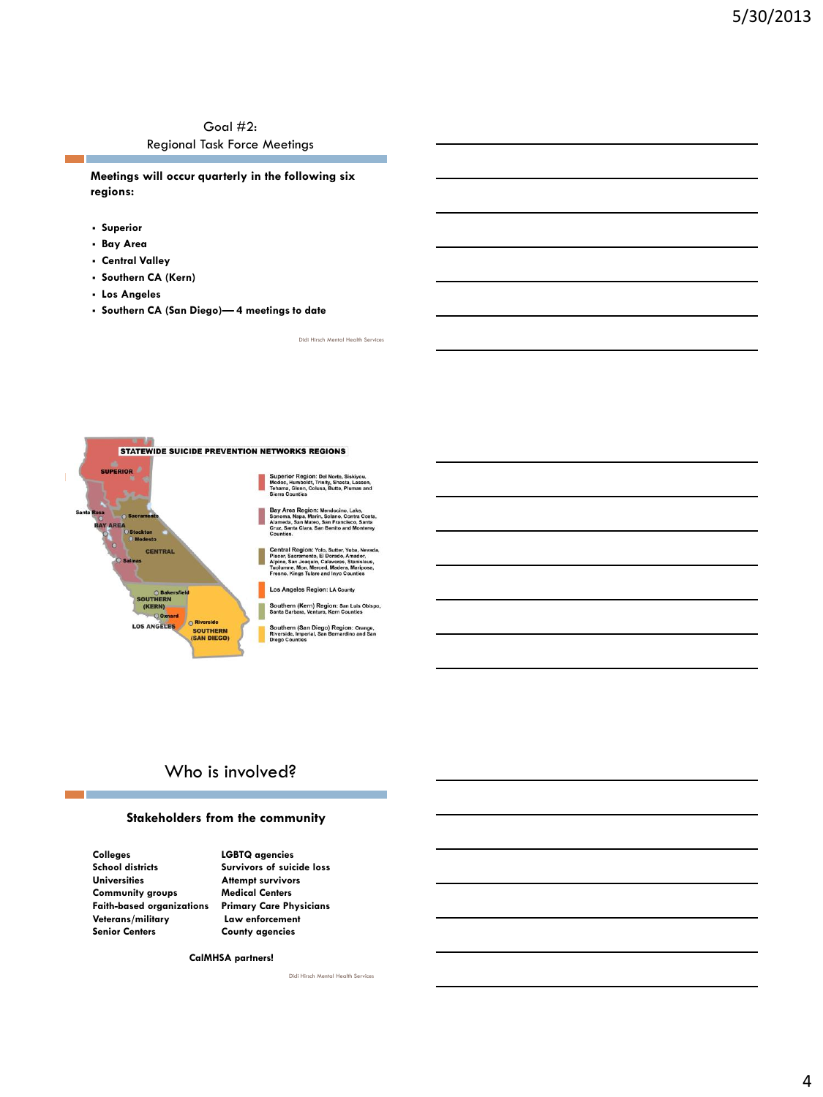### Goal #2: Regional Task Force Meetings

**Meetings will occur quarterly in the following six regions:**

- **Superior**
- **Bay Area**
- **Central Valley**
- **Southern CA (Kern)**
- **Los Angeles**
- **Southern CA (San Diego)— 4 meetings to date**



## Who is involved?

#### **Stakeholders from the community**

**Colleges LGBTQ agencies Universities Attempt survivors Community groups Medical Centers Senior Centers County agencies** 

Survivors of suicide loss **Faith-based organizations Primary Care Physicians** Law enforcement

**CalMHSA partners!**

Didi Hirsch Mental Health Services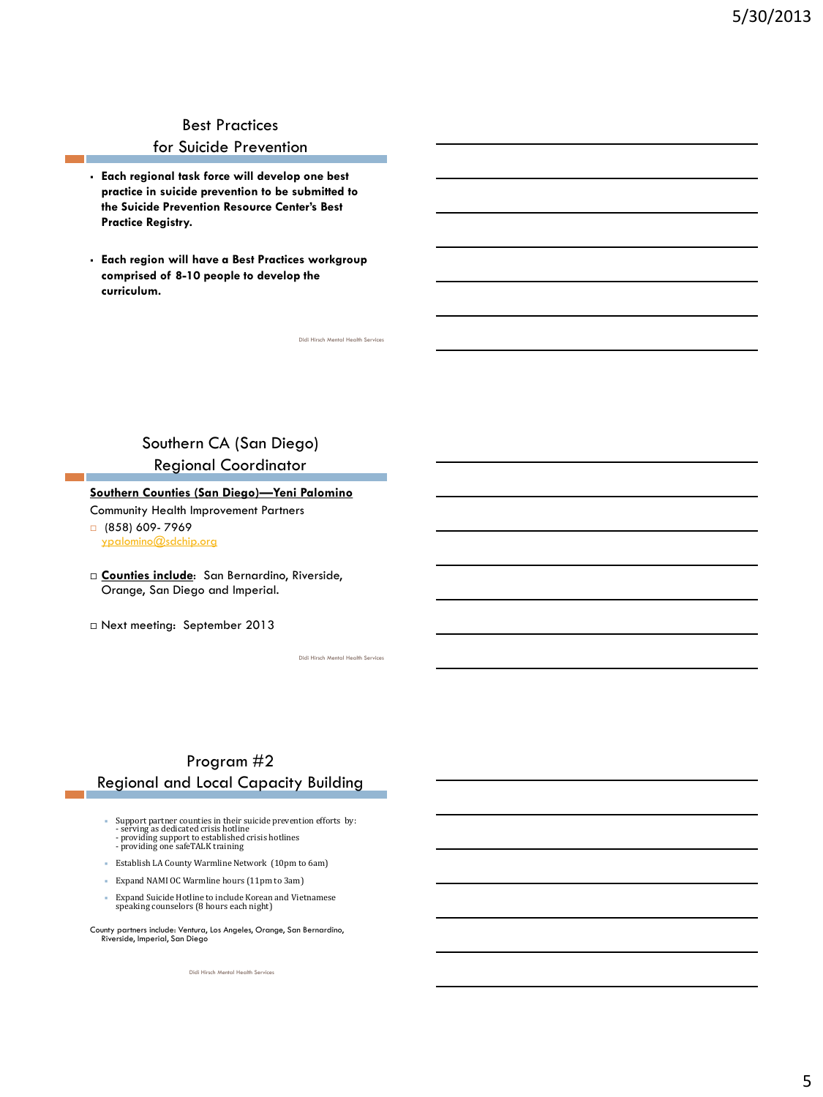# Best Practices

## for Suicide Prevention

- **Each regional task force will develop one best practice in suicide prevention to be submitted to the Suicide Prevention Resource Center's Best Practice Registry.**
- **Each region will have a Best Practices workgroup comprised of 8-10 people to develop the curriculum.**

## Southern CA (San Diego) Regional Coordinator

#### **Southern Counties (San Diego)—Yeni Palomino**

Community Health Improvement Partners

- (858) 609- 7969 [ypalomino@sdchip.org](mailto:ypalomino@sdchip.org)
- **Counties include**: San Bernardino, Riverside, Orange, San Diego and Imperial.
- Next meeting: September 2013

Didi Hirsch Mental Health Servic

Didi Hirsch Mental Health Services

## Program #2 Regional and Local Capacity Building

- **Goals:** Support partner counties in their suicide prevention efforts by: serving as dedicated crisis hotline providing support to established crisis hotlines providing one safeTALK training
- Establish LA County Warmline Network (10pm to 6am)
- Expand NAMI OC Warmline hours (11pm to 3am)
- Expand Suicide Hotline to include Korean and Vietnamese speaking counselors (8 hours each night)
- County partners include: Ventura, Los Angeles, Orange, San Bernardino, Riverside, Imperial, San Diego